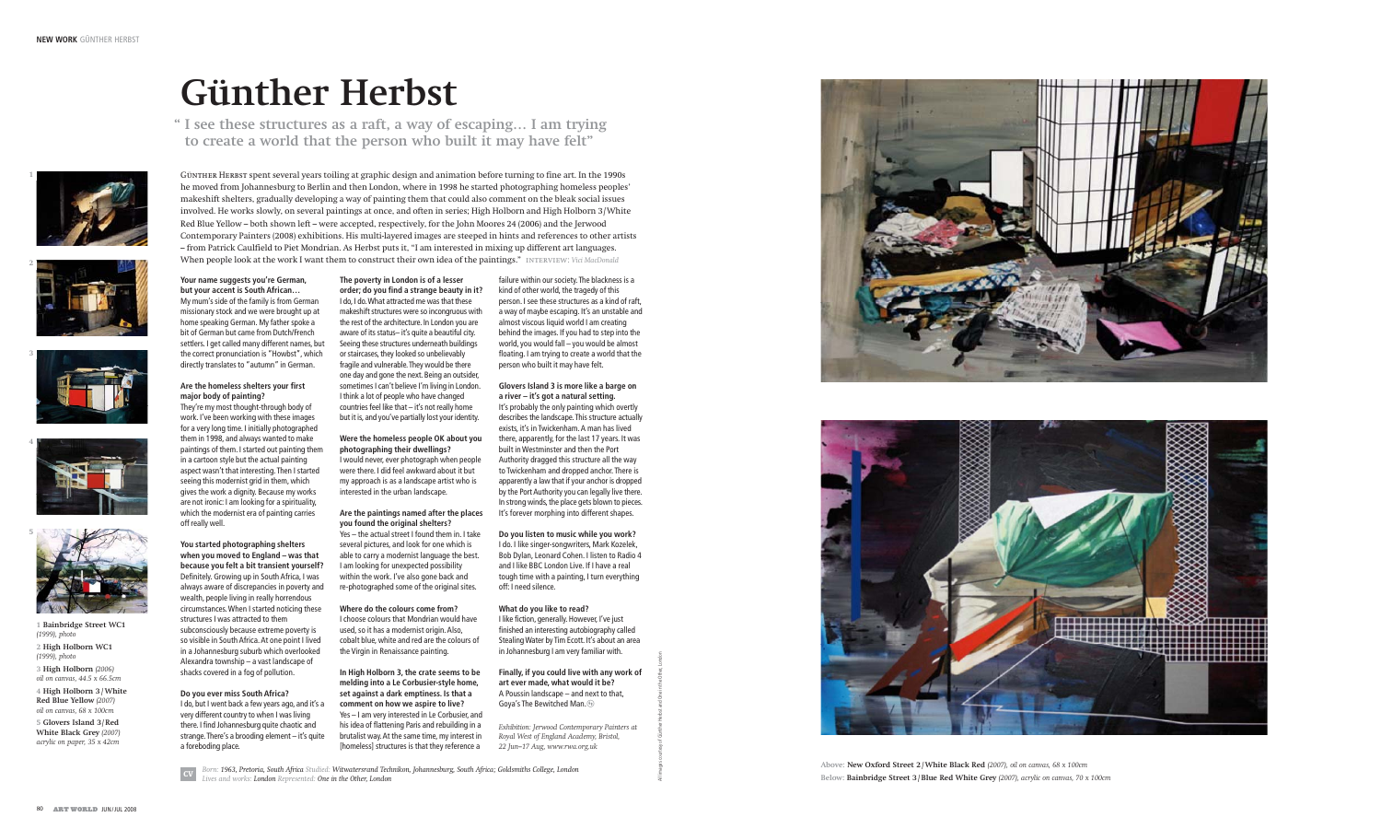# **Your name suggests you're German, but your accent is South African…**

My mum's side of the family is from German missionary stock and we were brought up at home speaking German. My father spoke a bit of German but came from Dutch/French settlers. I get called many different names, but the correct pronunciation is "Howbst", which directly translates to "autumn" in German.

### **Are the homeless shelters your first major body of painting?**

They're my most thought-through body of work. I've been working with these images for a very long time. I initially photographed them in 1998, and always wanted to make paintings of them. I started out painting them in a cartoon style but the actual painting aspect wasn't that interesting.Then I started seeing this modernist grid in them, which gives the work a dignity. Because my works are not ironic: I am looking for a spirituality, which the modernist era of painting carries off really well.

**You started photographing shelters when you moved to England – was that because you felt a bit transient yourself?** Definitely. Growing up in South Africa, I was always aware of discrepancies in poverty and wealth, people living in really horrendous circumstances.When I started noticing these structures I was attracted to them subconsciously because extreme poverty is so visible in South Africa.At one point I lived in a Johannesburg suburb which overlooked Alexandra township – a vast landscape of shacks covered in a fog of pollution.

#### **Do you ever miss South Africa?**

I do, but I went back a few years ago, and it's a very different country to when I was living there. I find Johannesburg quite chaotic and strange.There's a brooding element – it's quite a foreboding place.

# **The poverty in London is of a lesser order; do you find a strange beauty in it?** I do, I do.What attracted me was that these

makeshift structures were so incongruous with the rest of the architecture. In London you are aware of its status– it's quite a beautiful city. Seeing these structures underneath buildings or staircases, they looked so unbelievably fragile and vulnerable.They would be there one day and gone the next. Being an outsider, sometimes I can't believe I'm living in London. I think a lot of people who have changed countries feel like that – it's not really home but it is, and you've partially lost your identity.

# **Were the homeless people OK about you photographing their dwellings?**

I would never, ever photograph when people were there. I did feel awkward about it but my approach is as a landscape artist who is interested in the urban landscape.

Günther Herbst spent several years toiling at graphic design and animation before turning to fine art. In the 1990s he moved from Johannesburg to Berlin and then London, where in 1998 he started photographing homeless peoples' makeshift shelters, gradually developing a way of painting them that could also comment on the bleak social issues involved. He works slowly, on several paintings at once, and often in series; High Holborn and High Holborn 3/White Red Blue Yellow – both shown left – were accepted, respectively, for the John Moores 24 (2006) and the Jerwood Contemporary Painters (2008) exhibitions. His multi-layered images are steeped in hints and references to other artists – from Patrick Caulfield to Piet Mondrian. As Herbst puts it, "I am interested in mixing up different art languages. When people look at the work I want them to construct their own idea of the paintings." INTERVIEW: *Vici MacDonald* 

#### **Are the paintings named after the places you found the original shelters?**

Yes – the actual street I found them in. I take several pictures, and look for one which is able to carry a modernist language the best. I am looking for unexpected possibility within the work. I've also gone back and re-photographed some of the original sites.

#### **Where do the colours come from?**

*Born: 1963, Pretoria, South Africa Studied: Witwatersrand Technikon, Johannesburg, South Africa; Goldsmiths College, London* Lives and works: London Represented: One in the Other, London



I choose colours that Mondrian would have used, so it has a modernist origin.Also, cobalt blue, white and red are the colours of the Virgin in Renaissance painting.

**In High Holborn 3, the crate seems to be melding into a Le Corbusier-style home, set against a dark emptiness. Is that a comment on how we aspire to live?** Yes – I am very interested in Le Corbusier, and his idea of flattening Paris and rebuilding in a brutalist way.At the same time, my interest in [homeless] structures is that they reference a

failure within our society.The blackness is a kind of other world, the tragedy of this person. I see these structures as a kind of raft, a way of maybe escaping. It's an unstable and almost viscous liquid world I am creating behind the images. If you had to step into the world, you would fall – you would be almost floating. I am trying to create a world that the person who built it may have felt.

#### **Glovers Island 3 is more like a barge on a river – it's got a natural setting.** It's probably the only painting which overtly describes the landscape.This structure actually exists, it's in Twickenham.A man has lived there, apparently, for the last 17 years. It was built in Westminster and then the Port Authority dragged this structure all the way

to Twickenham and dropped anchor.There is apparently a law that if your anchor is dropped by the Port Authority you can legally live there. In strong winds, the place gets blown to pieces. It's forever morphing into different shapes.

# **Do you listen to music while you work?**

I do. I like singer-songwriters, Mark Kozelek, Bob Dylan, Leonard Cohen. I listen to Radio 4 and I like BBC London Live. If I have a real tough time with a painting, I turn everything off: I need silence.

# **What do you like to read?**

I like fiction, generally. However, I've just finished an interesting autobiography called Stealing Water by Tim Ecott. It's about an area in Johannesburg I am very familiar with.

**Finally, if you could live with any work of art ever made, what would it be?** A Poussin landscape – and next to that, Goya's The Bewitched Man. "

*Exhibition: Jerwood Contemporary Painters at Royal West of England Academy, Bristol, 22 Jun–17 Aug, www.rwa.org.uk*

# **Günther Herbst**











**1 Bainbridge Street WC1** *(1999), photo* **2 High Holborn WC1**  *(1999), photo* **3 High Holborn** *(2006) oil on canvas, 44.5 x 66.5cm*

**4 High Holborn 3 / White Red Blue Yellow** *(2007) oil on canvas, 68 x 100cm*

**5 Glovers Island 3/ Red White Black Grey** *(2007) acrylic on paper, 35 x 42cm* **" I see these structures as a raft, a way of escaping… I am trying to create a world that the person who built it may have felt"**